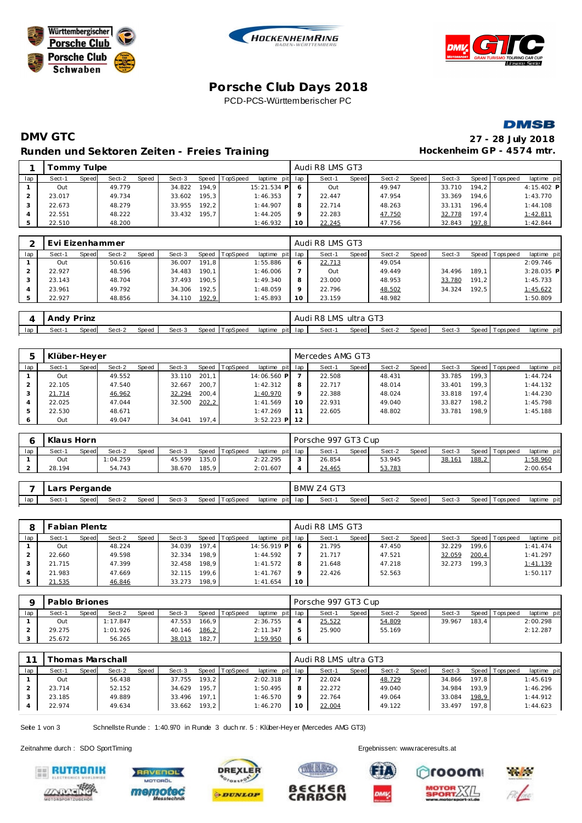





## **Porsche C lub Days 2018** PCD-PCS-Württemberischer PC



# **DMV GTC 27 - 28 July 2018 Runden und Sektoren Zeiten - Freies Training**  $\qquad \qquad$  **+**

| 27 - 28 July 2018         |
|---------------------------|
| Hockenheim GP - 4574 mtr. |

|     | ommy Tulpe |       |        |       |        |        |                |                 | Audi R8 LMS GT3 |       |        |       |        |       |                   |             |
|-----|------------|-------|--------|-------|--------|--------|----------------|-----------------|-----------------|-------|--------|-------|--------|-------|-------------------|-------------|
| lap | Sect-1     | Speed | Sect-2 | Speed | Sect-3 |        | Speed TopSpeed | laptime pit lap | Sect-1          | Speed | Sect-2 | Speed | Sect-3 |       | Speed   Tops peed | laptime pit |
|     | Out        |       | 49.779 |       | 34.822 | 194.9  |                | 15:21.534 P     | Out             |       | 49.947 |       | 33.710 | 194.2 |                   | 4:15.402 P  |
|     | 23.017     |       | 49.734 |       | 33.602 | 195.31 |                | 1:46.353        | 22.447          |       | 47.954 |       | 33.369 | 194.6 |                   | 1:43.770    |
|     | 22.673     |       | 48.279 |       | 33.955 | 192.2  |                | 1:44.907        | 22.714          |       | 48.263 |       | 33.131 | 196.4 |                   | 1:44.108    |
|     | 22.551     |       | 48.222 |       | 33.432 | 195.7  |                | 1:44.205        | 22.283          |       | 47.750 |       | 32.778 | 197.4 |                   | 1:42.811    |
|     | 22.510     |       | 48.200 |       |        |        |                | 1:46.932        | 22.245          |       | 47.756 |       | 32.843 | 197,8 |                   | 1:42.844    |

|     | Evi Eizenhammer |       |        |       |        |       |                 |                 |    | Audi R8 LMS GT3 |       |        |       |        |       |                 |              |
|-----|-----------------|-------|--------|-------|--------|-------|-----------------|-----------------|----|-----------------|-------|--------|-------|--------|-------|-----------------|--------------|
| lap | Sect-1          | Speed | Sect-2 | Speed | Sect-3 | Speed | <b>TopSpeed</b> | laptime pit lap |    | Sect-1          | Speed | Sect-2 | Speed | Sect-3 |       | Speed Tops peed | laptime pit  |
|     | Out             |       | 50.616 |       | 36.007 | 191.8 |                 | 1:55.886        |    | 22.713          |       | 49.054 |       |        |       |                 | 2:09.746     |
|     | 22.927          |       | 48.596 |       | 34.483 | 190.1 |                 | 1:46.006        |    | Out             |       | 49.449 |       | 34.496 | 189.1 |                 | $3:28.035$ P |
|     | 23.143          |       | 48.704 |       | 37.493 | 190.5 |                 | 1:49.340        | 8  | 23.000          |       | 48.953 |       | 33.780 | 191.2 |                 | 1:45.733     |
|     | 23.961          |       | 49.792 |       | 34.306 | 192.5 |                 | 1:48.059        |    | 22.796          |       | 48.502 |       | 34.324 | 192.5 |                 | 1:45.622     |
|     | 22.927          |       | 48.856 |       | 34.110 | 192,9 |                 | 1:45.893        | 10 | 23.159          |       | 48.982 |       |        |       |                 | 1:50.809     |

|     | Andy   | Prinz  |        |       |        |       |          |         | Audi    | . R8  | LMS ultra GT3 |        |       |        |       |           |             |
|-----|--------|--------|--------|-------|--------|-------|----------|---------|---------|-------|---------------|--------|-------|--------|-------|-----------|-------------|
| lap | Sect-1 | Speedl | Sect-2 | Speed | Sect-3 | Speed | TopSpeed | laptime | pit lap | Sect- | Speed         | Sect-2 | Speed | Sect-3 | Speed | Tops peed | laptime pit |

|     | Klüber-Heyer |       |        |       |        |        |          |                 |         | Mercedes AMG GT3 |         |        |       |        |                    |                |             |
|-----|--------------|-------|--------|-------|--------|--------|----------|-----------------|---------|------------------|---------|--------|-------|--------|--------------------|----------------|-------------|
| lap | Sect-1       | Speed | Sect-2 | Speed | Sect-3 | Speed  | TopSpeed | laptime pit lap |         | Sect-1           | Speed I | Sect-2 | Speed | Sect-3 |                    | Speed Topspeed | laptime pit |
|     | Out          |       | 49.552 |       | 33.110 | 201.1  |          | 14:06.560 P     |         | 22.508           |         | 48.431 |       | 33.785 | 199.3 <sub>1</sub> |                | 1:44.724    |
|     | 22.105       |       | 47.540 |       | 32.667 | 200.7  |          | 1:42.312        | 8       | 22.717           |         | 48.014 |       | 33.401 | 199.3              |                | 1:44.132    |
|     | 21.714       |       | 46.962 |       | 32.294 | 200.4  |          | 1:40.970        | $\circ$ | 22.388           |         | 48.024 |       | 33.818 | 197.4              |                | 1:44.230    |
|     | 22.025       |       | 47.044 |       | 32.500 | 202, 2 |          | 1:41.569        | 10      | 22.931           |         | 49.040 |       | 33.827 | 198.2              |                | 1:45.798    |
|     | 22.530       |       | 48.671 |       |        |        |          | 1:47.269        | 11      | 22.605           |         | 48.802 |       | 33.781 | 198.9              |                | 1:45.188    |
|     | Out          |       | 49.047 |       | 34.041 | 197.4  |          | $3:52.223$ P    | 12      |                  |         |        |       |        |                    |                |             |

|     | Klaus Horn |       |          |              |        |       |          |                 |        | Porsche 997 GT3 Cup |       |        |       |        |       |                   |             |
|-----|------------|-------|----------|--------------|--------|-------|----------|-----------------|--------|---------------------|-------|--------|-------|--------|-------|-------------------|-------------|
| lap | Sect-1     | Speed | Sect-2   | <b>Speed</b> | Sect-3 | Speed | TopSpeed | laptime pit lap |        | Sect-               | Speed | Sect-2 | Speed | Sect-3 |       | Speed   Tops peed | laptime pit |
|     | Out        |       | 1:04.259 |              | 45.599 | 135.0 |          | 2:22.295        | $\sim$ | 26.854              |       | 53.945 |       | 38.161 | 188,2 |                   | 1:58.960    |
|     | 28.194     |       | 54.743   |              | 38.670 | 185.9 |          | 2:01.607        |        | 24.465              |       | 53.783 |       |        |       |                   | 2:00.654    |

|     | Lars  | Pergande |        |       |        |                   |                 | <b>BMW</b> | Z4 GT3 |              |        |       |        |           |             |                |
|-----|-------|----------|--------|-------|--------|-------------------|-----------------|------------|--------|--------------|--------|-------|--------|-----------|-------------|----------------|
| lap | Sect- | Speedl   | Sect-2 | Speed | Sect-3 | Speed<br>TopSpeed | laptime<br>pitl | lap        | Sect-  | <b>Speed</b> | Sect-2 | Speed | Sect-3 | Speed   T | Г ops pee d | pit<br>laptime |

| 8   | Fabian Plentz |       |        |       |        |       |          |                 |    | Audi R8 LMS GT3 |       |        |       |        |       |                 |             |
|-----|---------------|-------|--------|-------|--------|-------|----------|-----------------|----|-----------------|-------|--------|-------|--------|-------|-----------------|-------------|
| lap | Sect-1        | Speed | Sect-2 | Speed | Sect-3 | Speed | TopSpeed | laptime pit lap |    | Sect-1          | Speed | Sect-2 | Speed | Sect-3 |       | Speed Tops peed | laptime pit |
|     | Out           |       | 48.224 |       | 34.039 | 197.4 |          | 14:56.919 P     |    | 21.795          |       | 47.450 |       | 32.229 | 199.6 |                 | 1:41.474    |
|     | 22.660        |       | 49.598 |       | 32.334 | 198.9 |          | 1:44.592        |    | 21.717          |       | 47.521 |       | 32.059 | 200,4 |                 | 1:41.297    |
|     | 21.715        |       | 47.399 |       | 32.458 | 198.9 |          | 1:41.572        | 8  | 21.648          |       | 47.218 |       | 32.273 | 199.3 |                 | 1:41.139    |
|     | 21.983        |       | 47.669 |       | 32.115 | 199.6 |          | 1:41.767        |    | 22.426          |       | 52.563 |       |        |       |                 | 1:50.117    |
|     | 21.535        |       | 46.846 |       | 33.273 | 198.9 |          | 1:41.654        | 10 |                 |       |        |       |        |       |                 |             |

|     | Pablo Briones |       |          |              |        |       |          |                 | Porsche 997 GT3 Cup |         |        |       |        |       |                |             |
|-----|---------------|-------|----------|--------------|--------|-------|----------|-----------------|---------------------|---------|--------|-------|--------|-------|----------------|-------------|
| lap | Sect-1        | Speed | Sect-2   | <b>Speed</b> | Sect-3 | Speed | TopSpeed | laptime pit lap | Sect-1              | Speed I | Sect-2 | Speed | Sect-3 |       | Speed Topspeed | laptime pit |
|     | Out           |       | 1:17.847 |              | 47.553 | 166.9 |          | 2:36.755        | 25.522              |         | 54.809 |       | 39.967 | 183.4 |                | 2:00.298    |
|     | 29.275        |       | 1:01.926 |              | 40.146 | 186,2 |          | 2:11.347        | 25.900              |         | 55.169 |       |        |       |                | 2:12.287    |
|     | 25.672        |       | 56.265   |              | 38.013 | 182.7 |          | <u>l:59.950</u> |                     |         |        |       |        |       |                |             |

|     |        |       | homas Marschall |       |        |       |                |                 |    | Audi R8 LMS ultra GT3 |       |        |       |        |       |                |             |
|-----|--------|-------|-----------------|-------|--------|-------|----------------|-----------------|----|-----------------------|-------|--------|-------|--------|-------|----------------|-------------|
| lap | Sect-1 | Speed | Sect-2          | Speed | Sect-3 |       | Speed TopSpeed | laptime pit lap |    | Sect-1                | Speed | Sect-2 | Speed | Sect-3 |       | Speed Topspeed | laptime pit |
|     | Out    |       | 56.438          |       | 37.755 | 193.2 |                | 2:02.318        |    | 22.024                |       | 48.729 |       | 34.866 | 197.8 |                | 1:45.619    |
|     | 23.714 |       | 52.152          |       | 34.629 | 195.7 |                | 1:50.495        |    | 22.272                |       | 49.040 |       | 34.984 | 193.9 |                | 1:46.296    |
|     | 23.185 |       | 49.889          |       | 33.496 | 197.1 |                | 1:46.570        |    | 22.764                |       | 49.064 |       | 33.084 | 198,9 |                | 1:44.912    |
|     | 22.974 |       | 49.634          |       | 33.662 | 193,2 |                | 1:46.270        | 10 | 22.004                |       | 49.122 |       | 33.497 | 197.8 |                | 1:44.623    |

Seite 1 von 3 Schnellste Runde : 1:40.970 in Runde 3 duch nr. 5 : Klüber-Hey er (Mercedes AMG GT3)

Zeitnahme durch : SDO SportTiming Ergebnissen: [www.raceresults.a](www.raceresults.at)t









B∈CK∈R

CARBON



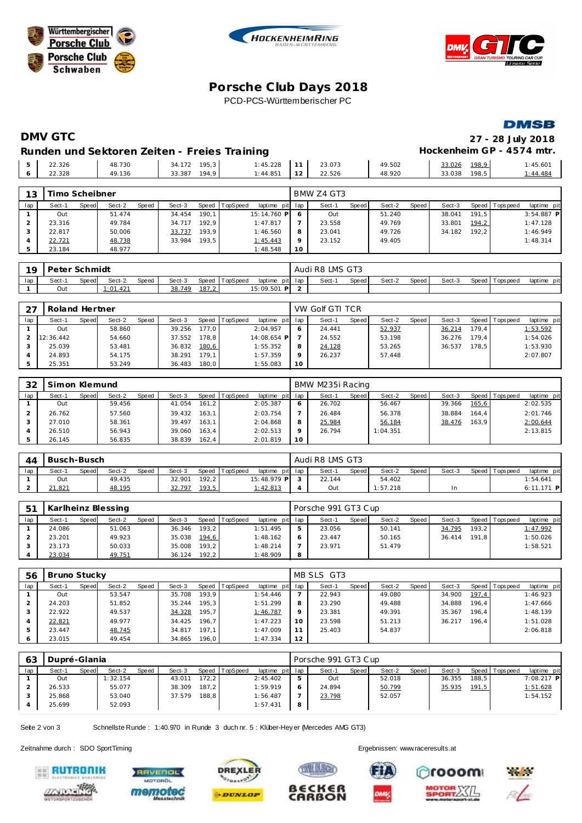





## **Porsche C lub Days 2018** PCD-PCS-Württemberischer PC

**DMSB** 

# **DMV GTC 27 - 28 July 2018**

#### Runden und Sektoren Zeiten - Freies Training **Entrarchiefen Execute Container Freies Training** Hockenheim GP - 4574 mtr.

|  |        |        |                 |                        |                | $P_{1}N_{2}N_{3}T_{4}A T_{0}T_{0}T$ |        |        |       |          |
|--|--------|--------|-----------------|------------------------|----------------|-------------------------------------|--------|--------|-------|----------|
|  |        |        |                 |                        |                |                                     |        |        |       |          |
|  | 22.328 | 49.136 | 194.9<br>33.387 | $1:44.85$ <sup>*</sup> | 1 <sup>2</sup> | 22.526                              | 48.920 | 33.038 | 198.5 | : 44.484 |
|  | 22.326 | 48.730 | 195,3<br>34.172 | : 45.228               | A              | 23.073                              | 49.502 | 33.026 | 198,9 | 1:45.601 |
|  |        |        |                 | $\cdot$                |                |                                     |        |        |       |          |

| 13  | rimo Scheibner |       |        |       |        |       |          |                 |         | BMW Z4 GT3 |       |        |       |        |       |                |              |
|-----|----------------|-------|--------|-------|--------|-------|----------|-----------------|---------|------------|-------|--------|-------|--------|-------|----------------|--------------|
| lap | Sect-1         | Speed | Sect-2 | Speed | Sect-3 | Speed | TopSpeed | laptime pit lap |         | Sect-1     | Speed | Sect-2 | Speed | Sect-3 |       | Speed Topspeed | laptime pit  |
|     | Out            |       | 51.474 |       | 34.454 | 190.1 |          | 15:14.760 P 6   |         | Out        |       | 51.240 |       | 38.041 | 191.5 |                | $3:54.887$ P |
|     | 23.316         |       | 49.784 |       | 34.717 | 192.9 |          | 1:47.817        |         | 23.558     |       | 49.769 |       | 33.801 | 194,2 |                | 1:47.128     |
|     | 22.817         |       | 50.006 |       | 33.737 | 193.9 |          | 1:46.560        | 8       | 23.041     |       | 49.726 |       | 34.182 | 192.2 |                | 1:46.949     |
|     | 22.721         |       | 48.738 |       | 33.984 | 193.5 |          | 1:45.443        | $\circ$ | 23.152     |       | 49.405 |       |        |       |                | 1:48.314     |
|     | 23.184         |       | 48.977 |       |        |       |          | 1:48.548        | 10      |            |       |        |       |        |       |                |              |

| 1Q  | Peter Schmidt |       |          |              |        |       |                |                        |         | Audi R8 LMS GT3 |       |        |       |        |                 |                |
|-----|---------------|-------|----------|--------------|--------|-------|----------------|------------------------|---------|-----------------|-------|--------|-------|--------|-----------------|----------------|
| lap | Sect-1        | Speed | Sect-2   | <b>Speed</b> | Sect-3 |       | Speed TopSpeed | laptime                | pit lap | Sect-1          | Speed | Sect-2 | Speed | Sect-3 | Speed Tops peed | pit<br>laptime |
|     | Out           |       | : 01.421 |              | 38.749 | 187,2 |                | 15:09.501<br><b>PI</b> |         |                 |       |        |       |        |                 |                |

| 27  | Roland Hertner |       |        |       |        |       |                  |                 |         | VW Golf GTI TCR |       |        |       |        |       |                 |             |
|-----|----------------|-------|--------|-------|--------|-------|------------------|-----------------|---------|-----------------|-------|--------|-------|--------|-------|-----------------|-------------|
| lap | Sect-1         | Speed | Sect-2 | Speed | Sect-3 |       | Speed   TopSpeed | laptime pit lap |         | Sect-1          | Speed | Sect-2 | Speed | Sect-3 |       | Speed Tops peed | laptime pit |
|     | Out            |       | 58.860 |       | 39.256 | 177.0 |                  | 2:04.957        | -6      | 24.441          |       | 52.937 |       | 36.214 | 179.4 |                 | 1:53.592    |
|     | 12:36.442      |       | 54.660 |       | 37.552 | 178.8 |                  | 14:08.654 P     |         | 24.552          |       | 53.198 |       | 36.276 | 179.4 |                 | 1:54.026    |
|     | 25.039         |       | 53.481 |       | 36.832 | 180,6 |                  | 1:55.352        | 8       | 24.128          |       | 53.265 |       | 36.537 | 178.5 |                 | 1:53.930    |
|     | 24.893         |       | 54.175 |       | 38.291 | 179.1 |                  | 1:57.359        | $\circ$ | 26.237          |       | 57.448 |       |        |       |                 | 2:07.807    |
|     | 25.351         |       | 53.249 |       | 36.483 | 180.0 |                  | 1:55.083        | 10      |                 |       |        |       |        |       |                 |             |

| 32  | Simon Klemund |       |        |       |        |       |          |                 |         | BMW M235i Racing |       |          |       |        |        |                 |             |
|-----|---------------|-------|--------|-------|--------|-------|----------|-----------------|---------|------------------|-------|----------|-------|--------|--------|-----------------|-------------|
| lap | Sect-1        | Speed | Sect-2 | Speed | Sect-3 | Speed | TopSpeed | laptime pit lap |         | Sect-1           | Speed | Sect-2   | Speed | Sect-3 |        | Speed Tops peed | laptime pit |
|     | Out           |       | 59.456 |       | 41.054 | 161.2 |          | 2:05.387        | $\circ$ | 26.702           |       | 56.467   |       | 39.366 | 165, 6 |                 | 2:02.535    |
|     | 26.762        |       | 57.560 |       | 39.432 | 163.1 |          | 2:03.754        |         | 26.484           |       | 56.378   |       | 38.884 | 164.4  |                 | 2:01.746    |
|     | 27.010        |       | 58.361 |       | 39.497 | 163.1 |          | 2:04.868        |         | 25.984           |       | 56.184   |       | 38.476 | 163.9  |                 | 2:00.644    |
|     | 26.510        |       | 56.943 |       | 39.060 | 163.4 |          | 2:02.513        |         | 26.794           |       | 1:04.351 |       |        |        |                 | 2:13.815    |
|     | 26.145        |       | 56.835 |       | 38.839 | 162,4 |          | 2:01.819        | 10      |                  |       |          |       |        |        |                 |             |

| 44  | Busch-Busch |       |        |              |        |       |                |              |     | Audi R8 LMS GT3 |       |          |       |        |                |              |
|-----|-------------|-------|--------|--------------|--------|-------|----------------|--------------|-----|-----------------|-------|----------|-------|--------|----------------|--------------|
| lap | Sect-       | Speed | Sect-2 | <b>Speed</b> | Sect-3 |       | Speed TopSpeed | laptime pit  | lap | Sect-1          | Speed | Sect-2   | Speed | Sect-3 | Speed Topspeed | laptime pit  |
|     | Out         |       | 49.435 |              | 32.901 | 192.2 |                | 15:48.979 PL |     | 22.144          |       | 54.402   |       |        |                | 1:54.641     |
|     | 21.821      |       | 48.195 |              | 32.797 | 193,5 |                | 1:42.813     |     | Out             |       | : 57.218 |       |        |                | $6:11.171$ P |

| - 51 |        |       | Karlheinz Blessing |       |        |       |          |                 |   | Porsche 991 GT3 Cup |              |        |       |        |       |                 |             |
|------|--------|-------|--------------------|-------|--------|-------|----------|-----------------|---|---------------------|--------------|--------|-------|--------|-------|-----------------|-------------|
| lap  | Sect-1 | Speed | Sect-2             | Speed | Sect-3 | Speed | TopSpeed | laptime pit lap |   | Sect-1              | <b>Speed</b> | Sect-2 | Speed | Sect-3 |       | Speed Tops peed | laptime pit |
|      | 24.086 |       | 51.063             |       | 36.346 | 193.2 |          | 1:51.495        |   | 23.056              |              | 50.141 |       | 34.795 | 193.2 |                 | 1:47.992    |
|      | 23.201 |       | 49.923             |       | 35.038 | 194,6 |          | 1:48.162        |   | 23.447              |              | 50.165 |       | 36.414 | 191.8 |                 | 1:50.026    |
|      | 23.173 |       | 50.033             |       | 35.008 | 193.2 |          | 1:48.214        |   | 23.971              |              | 51.479 |       |        |       |                 | 1:58.521    |
|      | 23.034 |       | 49.751             |       | 36.124 | 192.2 |          | 1:48.909        | 8 |                     |              |        |       |        |       |                 |             |

| 56  | Bruno Stucky |       |        |       |        |       |          |                 |         | MB SLS GT3 |       |        |       |        |       |                |             |
|-----|--------------|-------|--------|-------|--------|-------|----------|-----------------|---------|------------|-------|--------|-------|--------|-------|----------------|-------------|
| lap | Sect-1       | Speed | Sect-2 | Speed | Sect-3 | Speed | TopSpeed | laptime pit lap |         | Sect-1     | Speed | Sect-2 | Speed | Sect-3 |       | Speed Topspeed | laptime pit |
|     | Out          |       | 53.547 |       | 35.708 | 193.9 |          | 1:54.446        |         | 22.943     |       | 49.080 |       | 34.900 | 197,4 |                | 1:46.923    |
|     | 24.203       |       | 51.852 |       | 35.244 | 195.3 |          | 1:51.299        | 8       | 23.290     |       | 49.488 |       | 34.888 | 196.4 |                | 1:47.666    |
|     | 22.922       |       | 49.537 |       | 34.328 | 195.7 |          | 1:46.787        | $\circ$ | 23.381     |       | 49.391 |       | 35.367 | 196.4 |                | 1:48.139    |
|     | 22.821       |       | 49.977 |       | 34.425 | 196.7 |          | 1:47.223        | 10      | 23.598     |       | 51.213 |       | 36.217 | 196.4 |                | 1:51.028    |
|     | 23.447       |       | 48.745 |       | 34.817 | 197.1 |          | 1:47.009        |         | 25.403     |       | 54.837 |       |        |       |                | 2:06.818    |
|     | 23.015       |       | 49.454 |       | 34.865 | 196,0 |          | 1:47.334        | 12      |            |       |        |       |        |       |                |             |

| 63  | Dupré-Glania |       |          |       |        |                    |          |                 |   | Porsche 991 GT3 Cup |       |        |       |        |       |                 |             |
|-----|--------------|-------|----------|-------|--------|--------------------|----------|-----------------|---|---------------------|-------|--------|-------|--------|-------|-----------------|-------------|
| lap | Sect-1       | Speed | Sect-2   | Speed | Sect-3 | Speed              | TopSpeed | laptime pit lap |   | Sect-1              | Speed | Sect-2 | Speed | Sect-3 |       | Speed Tops peed | laptime pit |
|     | Out          |       | 1:32.154 |       | 43.011 | 172.2.             |          | 2:45.402        |   | Out                 |       | 52.018 |       | 36.355 | 188.5 |                 | 7:08.217 P  |
|     | 26.533       |       | 55.077   |       | 38.309 | 187.2              |          | 1:59.919        |   | 24.894              |       | 50.799 |       | 35.935 | 191,5 |                 | 1:51.628    |
|     | 25.868       |       | 53.040   |       | 37.579 | 188.8 <sub>1</sub> |          | 1:56.487        |   | 23.798              |       | 52.057 |       |        |       |                 | 1:54.152    |
|     | 25.699       |       | 52.093   |       |        |                    |          | 1:57.431        | 8 |                     |       |        |       |        |       |                 |             |

ß

**TWE BLECK** 

€CK€F

**CARBON** 

Seite 2 von 3 Schnellste Runde : 1:40.970 in Runde 3 duch nr. 5 : Klüber-Hey er (Mercedes AMG GT3)

Zeitnahme durch : SDO SportTiming Ergebnissen: [www.raceresults.a](www.raceresults.at)t